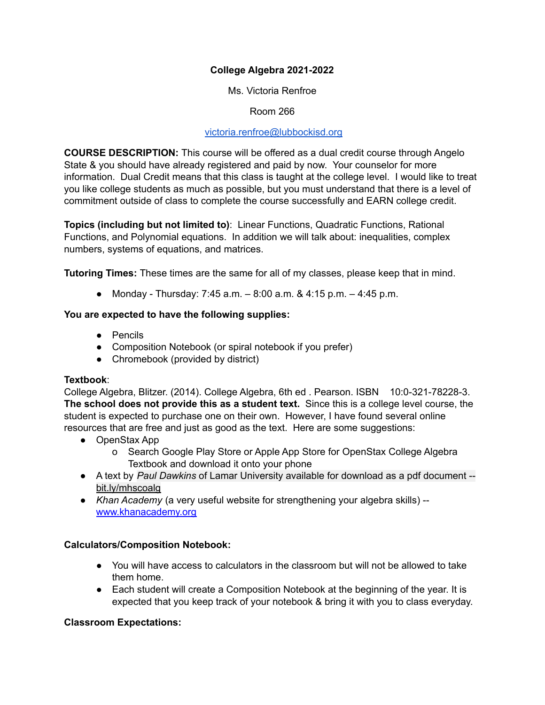# **College Algebra 2021-2022**

Ms. Victoria Renfroe

Room 266

#### [victoria.renfroe@lubbockisd.org](mailto:victoria.renfroe@lubbockisd.org)

**COURSE DESCRIPTION:** This course will be offered as a dual credit course through Angelo State & you should have already registered and paid by now. Your counselor for more information. Dual Credit means that this class is taught at the college level. I would like to treat you like college students as much as possible, but you must understand that there is a level of commitment outside of class to complete the course successfully and EARN college credit.

**Topics (including but not limited to)**: Linear Functions, Quadratic Functions, Rational Functions, and Polynomial equations. In addition we will talk about: inequalities, complex numbers, systems of equations, and matrices.

**Tutoring Times:** These times are the same for all of my classes, please keep that in mind.

● Monday - Thursday:  $7:45$  a.m.  $-8:00$  a.m. &  $4:15$  p.m.  $-4:45$  p.m.

## **You are expected to have the following supplies:**

- Pencils
- Composition Notebook (or spiral notebook if you prefer)
- Chromebook (provided by district)

## **Textbook**:

College Algebra, Blitzer. (2014). College Algebra, 6th ed . Pearson. ISBN 10:0-321-78228-3. **The school does not provide this as a student text.** Since this is a college level course, the student is expected to purchase one on their own. However, I have found several online resources that are free and just as good as the text. Here are some suggestions:

- OpenStax App
	- o Search Google Play Store or Apple App Store for OpenStax College Algebra Textbook and download it onto your phone
- A text by *Paul Dawkins* of Lamar University available for download as a pdf document bit.ly/mhscoalg
- *Khan Academy* (a very useful website for strengthening your algebra skills) [www.khanacademy.org](http://www.khanacademy.org)

## **Calculators/Composition Notebook:**

- You will have access to calculators in the classroom but will not be allowed to take them home.
- Each student will create a Composition Notebook at the beginning of the year. It is expected that you keep track of your notebook & bring it with you to class everyday.

## **Classroom Expectations:**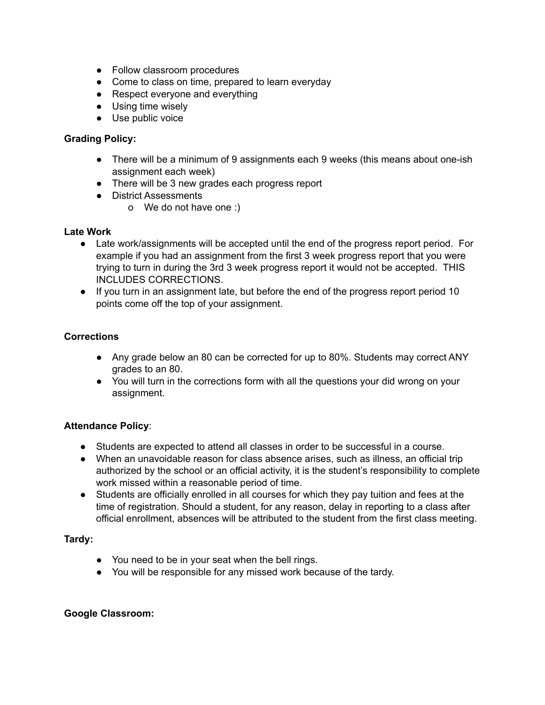- Follow classroom procedures
- Come to class on time, prepared to learn everyday
- Respect everyone and everything
- Using time wisely
- Use public voice

# **Grading Policy:**

- There will be a minimum of 9 assignments each 9 weeks (this means about one-ish assignment each week)
- There will be 3 new grades each progress report
- District Assessments
	- o We do not have one :)

## **Late Work**

- Late work/assignments will be accepted until the end of the progress report period. For example if you had an assignment from the first 3 week progress report that you were trying to turn in during the 3rd 3 week progress report it would not be accepted. THIS INCLUDES CORRECTIONS.
- If you turn in an assignment late, but before the end of the progress report period 10 points come off the top of your assignment.

## **Corrections**

- Any grade below an 80 can be corrected for up to 80%. Students may correct ANY grades to an 80.
- You will turn in the corrections form with all the questions your did wrong on your assignment.

## **Attendance Policy**:

- Students are expected to attend all classes in order to be successful in a course.
- When an unavoidable reason for class absence arises, such as illness, an official trip authorized by the school or an official activity, it is the student's responsibility to complete work missed within a reasonable period of time.
- Students are officially enrolled in all courses for which they pay tuition and fees at the time of registration. Should a student, for any reason, delay in reporting to a class after official enrollment, absences will be attributed to the student from the first class meeting.

## **Tardy:**

- You need to be in your seat when the bell rings.
- You will be responsible for any missed work because of the tardy.

#### **Google Classroom:**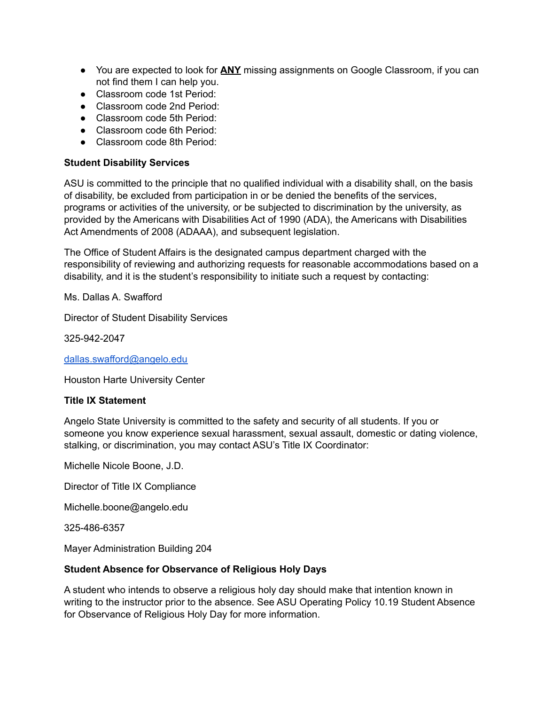- You are expected to look for **ANY** missing assignments on Google Classroom, if you can not find them I can help you.
- Classroom code 1st Period:
- Classroom code 2nd Period:
- Classroom code 5th Period:
- Classroom code 6th Period:
- Classroom code 8th Period:

### **Student Disability Services**

ASU is committed to the principle that no qualified individual with a disability shall, on the basis of disability, be excluded from participation in or be denied the benefits of the services, programs or activities of the university, or be subjected to discrimination by the university, as provided by the Americans with Disabilities Act of 1990 (ADA), the Americans with Disabilities Act Amendments of 2008 (ADAAA), and subsequent legislation.

The Office of Student Affairs is the designated campus department charged with the responsibility of reviewing and authorizing requests for reasonable accommodations based on a disability, and it is the student's responsibility to initiate such a request by contacting:

Ms. Dallas A. Swafford

Director of Student Disability Services

325-942-2047

[dallas.swafford@angelo.edu](mailto:dallas.swafford@angelo.edu)

Houston Harte University Center

## **Title IX Statement**

Angelo State University is committed to the safety and security of all students. If you or someone you know experience sexual harassment, sexual assault, domestic or dating violence, stalking, or discrimination, you may contact ASU's Title IX Coordinator:

Michelle Nicole Boone, J.D.

Director of Title IX Compliance

Michelle.boone@angelo.edu

325-486-6357

Mayer Administration Building 204

## **Student Absence for Observance of Religious Holy Days**

A student who intends to observe a religious holy day should make that intention known in writing to the instructor prior to the absence. See ASU Operating Policy 10.19 Student Absence for Observance of Religious Holy Day for more information.